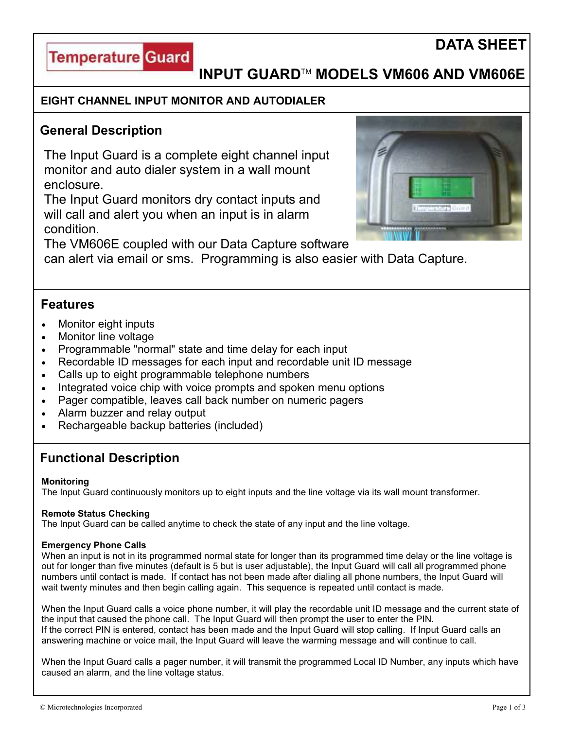



# **INPUT GUARD**TM **MODELS VM606 AND VM606E**

### **EIGHT CHANNEL INPUT MONITOR AND AUTODIALER**

## **General Description**

The Input Guard is a complete eight channel input monitor and auto dialer system in a wall mount enclosure.

The Input Guard monitors dry contact inputs and will call and alert you when an input is in alarm condition.



The VM606E coupled with our Data Capture software

can alert via email or sms. Programming is also easier with Data Capture.

### **Features**

- Monitor eight inputs
- Monitor line voltage
- Programmable "normal" state and time delay for each input
- Recordable ID messages for each input and recordable unit ID message
- Calls up to eight programmable telephone numbers
- Integrated voice chip with voice prompts and spoken menu options
- Pager compatible, leaves call back number on numeric pagers
- Alarm buzzer and relay output
- Rechargeable backup batteries (included)

# **Functional Description**

### **Monitoring**

The Input Guard continuously monitors up to eight inputs and the line voltage via its wall mount transformer.

### **Remote Status Checking**

The Input Guard can be called anytime to check the state of any input and the line voltage.

### **Emergency Phone Calls**

When an input is not in its programmed normal state for longer than its programmed time delay or the line voltage is out for longer than five minutes (default is 5 but is user adjustable), the Input Guard will call all programmed phone numbers until contact is made. If contact has not been made after dialing all phone numbers, the Input Guard will wait twenty minutes and then begin calling again. This sequence is repeated until contact is made.

When the Input Guard calls a voice phone number, it will play the recordable unit ID message and the current state of the input that caused the phone call. The Input Guard will then prompt the user to enter the PIN. If the correct PIN is entered, contact has been made and the Input Guard will stop calling. If Input Guard calls an answering machine or voice mail, the Input Guard will leave the warming message and will continue to call.

When the Input Guard calls a pager number, it will transmit the programmed Local ID Number, any inputs which have caused an alarm, and the line voltage status.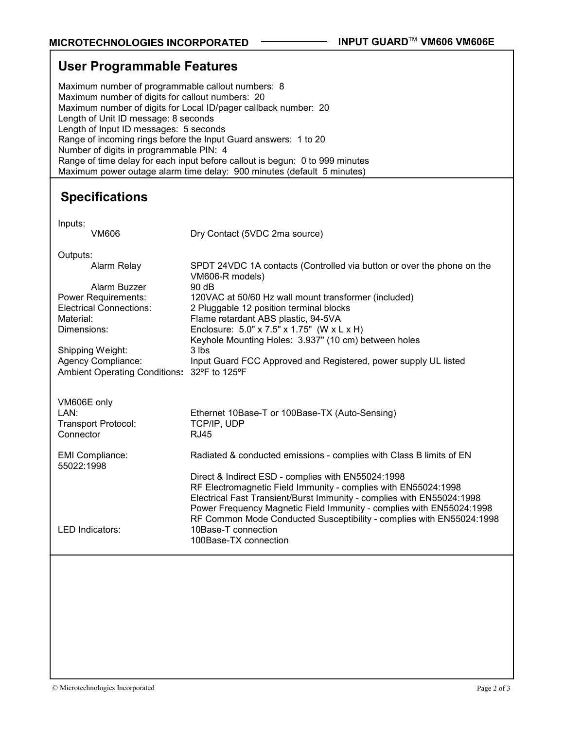| <b>User Programmable Features</b>                                                                                                                                                                                                                                                                                                                                                                                                                                                                                                  |                                                                                                                                                                                                                                                                                                                                                                                                                                             |
|------------------------------------------------------------------------------------------------------------------------------------------------------------------------------------------------------------------------------------------------------------------------------------------------------------------------------------------------------------------------------------------------------------------------------------------------------------------------------------------------------------------------------------|---------------------------------------------------------------------------------------------------------------------------------------------------------------------------------------------------------------------------------------------------------------------------------------------------------------------------------------------------------------------------------------------------------------------------------------------|
| Maximum number of programmable callout numbers: 8<br>Maximum number of digits for callout numbers: 20<br>Maximum number of digits for Local ID/pager callback number: 20<br>Length of Unit ID message: 8 seconds<br>Length of Input ID messages: 5 seconds<br>Range of incoming rings before the Input Guard answers: 1 to 20<br>Number of digits in programmable PIN: 4<br>Range of time delay for each input before callout is begun: 0 to 999 minutes<br>Maximum power outage alarm time delay: 900 minutes (default 5 minutes) |                                                                                                                                                                                                                                                                                                                                                                                                                                             |
| <b>Specifications</b>                                                                                                                                                                                                                                                                                                                                                                                                                                                                                                              |                                                                                                                                                                                                                                                                                                                                                                                                                                             |
| Inputs:<br><b>VM606</b>                                                                                                                                                                                                                                                                                                                                                                                                                                                                                                            | Dry Contact (5VDC 2ma source)                                                                                                                                                                                                                                                                                                                                                                                                               |
| Outputs:<br>Alarm Relay<br>Alarm Buzzer<br><b>Power Requirements:</b><br><b>Electrical Connections:</b><br>Material:<br>Dimensions:<br>Shipping Weight:<br>Agency Compliance:<br>Ambient Operating Conditions: 32°F to 125°F                                                                                                                                                                                                                                                                                                       | SPDT 24VDC 1A contacts (Controlled via button or over the phone on the<br>VM606-R models)<br>90 dB<br>120VAC at 50/60 Hz wall mount transformer (included)<br>2 Pluggable 12 position terminal blocks<br>Flame retardant ABS plastic, 94-5VA<br>Enclosure: 5.0" x 7.5" x 1.75" (W x L x H)<br>Keyhole Mounting Holes: 3.937" (10 cm) between holes<br>3 lbs<br>Input Guard FCC Approved and Registered, power supply UL listed              |
| VM606E only<br>LAN:<br><b>Transport Protocol:</b><br>Connector                                                                                                                                                                                                                                                                                                                                                                                                                                                                     | Ethernet 10Base-T or 100Base-TX (Auto-Sensing)<br>TCP/IP, UDP<br><b>RJ45</b>                                                                                                                                                                                                                                                                                                                                                                |
| <b>EMI Compliance:</b><br>55022:1998<br>LED Indicators:                                                                                                                                                                                                                                                                                                                                                                                                                                                                            | Radiated & conducted emissions - complies with Class B limits of EN<br>Direct & Indirect ESD - complies with EN55024:1998<br>RF Electromagnetic Field Immunity - complies with EN55024:1998<br>Electrical Fast Transient/Burst Immunity - complies with EN55024:1998<br>Power Frequency Magnetic Field Immunity - complies with EN55024:1998<br>RF Common Mode Conducted Susceptibility - complies with EN55024:1998<br>10Base-T connection |
|                                                                                                                                                                                                                                                                                                                                                                                                                                                                                                                                    | 100Base-TX connection                                                                                                                                                                                                                                                                                                                                                                                                                       |